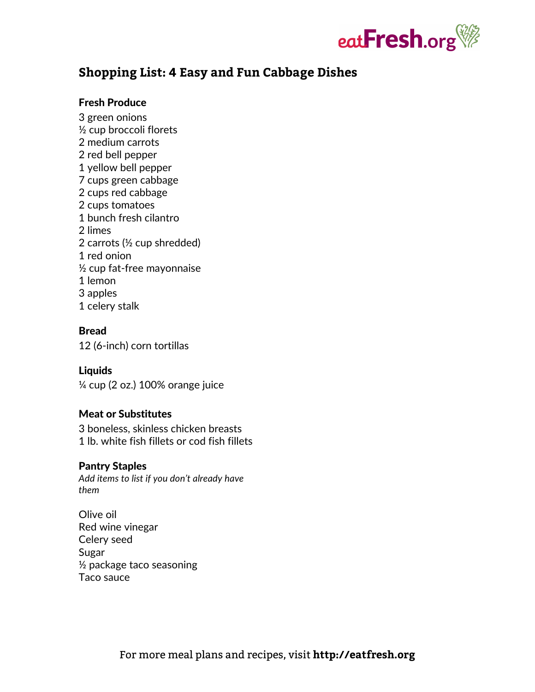

# **Shopping List: 4 Easy and Fun Cabbage Dishes**

### Fresh Produce

3 green onions ½ cup broccoli florets 2 medium carrots 2 red bell pepper 1 yellow bell pepper 7 cups green cabbage 2 cups red cabbage 2 cups tomatoes 1 bunch fresh cilantro 2 limes 2 carrots (½ cup shredded) 1 red onion ½ cup fat-free mayonnaise 1 lemon 3 apples 1 celery stalk

#### **Bread**

12 (6-inch) corn tortillas

#### Liquids

¼ cup (2 oz.) 100% orange juice

### Meat or Substitutes

3 boneless, skinless chicken breasts 1 lb. white fish fillets or cod fish fillets

#### Pantry Staples

*Add items to list if you don't already have them*

Olive oil Red wine vinegar Celery seed Sugar ½ package taco seasoning Taco sauce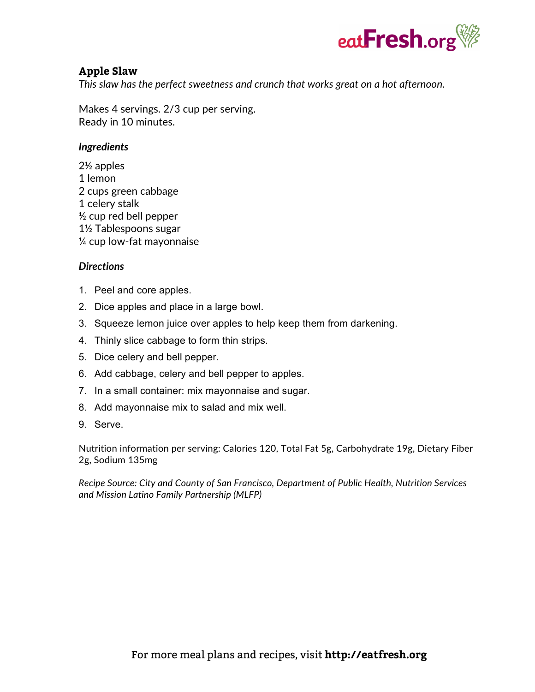

# **Apple Slaw**

*This slaw has the perfect sweetness and crunch that works great on a hot afternoon.*

Makes 4 servings. 2/3 cup per serving. Ready in 10 minutes.

### *Ingredients*

2½ apples 1 lemon 2 cups green cabbage 1 celery stalk ½ cup red bell pepper 1½ Tablespoons sugar ¼ cup low-fat mayonnaise

### *Directions*

- 1. Peel and core apples.
- 2. Dice apples and place in a large bowl.
- 3. Squeeze lemon juice over apples to help keep them from darkening.
- 4. Thinly slice cabbage to form thin strips.
- 5. Dice celery and bell pepper.
- 6. Add cabbage, celery and bell pepper to apples.
- 7. In a small container: mix mayonnaise and sugar.
- 8. Add mayonnaise mix to salad and mix well.
- 9. Serve.

Nutrition information per serving: Calories 120, Total Fat 5g, Carbohydrate 19g, Dietary Fiber 2g, Sodium 135mg

*Recipe Source: City and County of San Francisco, Department of Public Health, Nutrition Services and Mission Latino Family Partnership (MLFP)*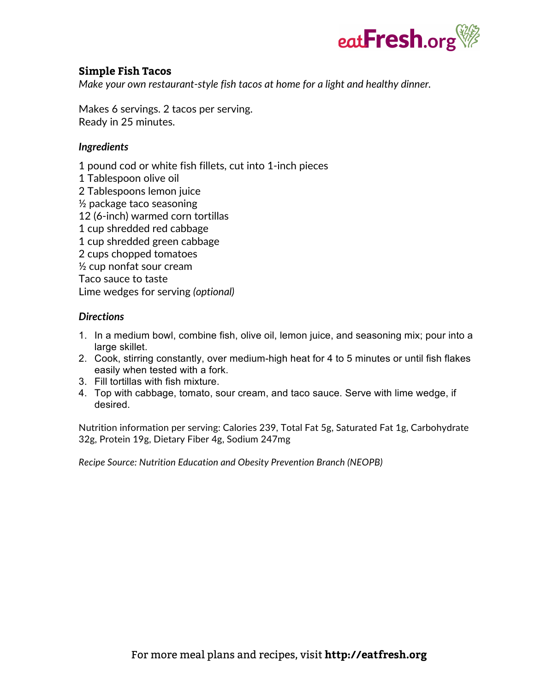

### **Simple Fish Tacos**

*Make your own restaurant-style fish tacos at home for a light and healthy dinner.*

Makes 6 servings. 2 tacos per serving. Ready in 25 minutes.

### *Ingredients*

- 1 pound cod or white fish fillets, cut into 1-inch pieces
- 1 Tablespoon olive oil
- 2 Tablespoons lemon juice
- ½ package taco seasoning
- 12 (6-inch) warmed corn tortillas
- 1 cup shredded red cabbage
- 1 cup shredded green cabbage
- 2 cups chopped tomatoes
- ½ cup nonfat sour cream
- Taco sauce to taste

Lime wedges for serving *(optional)*

### *Directions*

- 1. In a medium bowl, combine fish, olive oil, lemon juice, and seasoning mix; pour into a large skillet.
- 2. Cook, stirring constantly, over medium-high heat for 4 to 5 minutes or until fish flakes easily when tested with a fork.
- 3. Fill tortillas with fish mixture.
- 4. Top with cabbage, tomato, sour cream, and taco sauce. Serve with lime wedge, if desired.

Nutrition information per serving: Calories 239, Total Fat 5g, Saturated Fat 1g, Carbohydrate 32g, Protein 19g, Dietary Fiber 4g, Sodium 247mg

*Recipe Source: Nutrition Education and Obesity Prevention Branch (NEOPB)*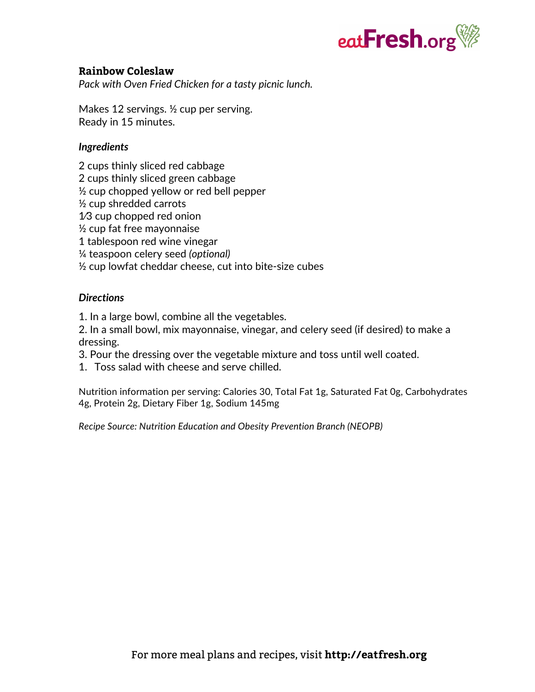

### **Rainbow Coleslaw**

*Pack with Oven Fried Chicken for a tasty picnic lunch.*

Makes 12 servings. ½ cup per serving. Ready in 15 minutes.

### *Ingredients*

2 cups thinly sliced red cabbage 2 cups thinly sliced green cabbage  $\frac{1}{2}$  cup chopped yellow or red bell pepper ½ cup shredded carrots 1⁄3 cup chopped red onion  $\frac{1}{2}$  cup fat free mayonnaise 1 tablespoon red wine vinegar ¼ teaspoon celery seed *(optional)* ½ cup lowfat cheddar cheese, cut into bite-size cubes

### *Directions*

1. In a large bowl, combine all the vegetables.

2. In a small bowl, mix mayonnaise, vinegar, and celery seed (if desired) to make a dressing.

3. Pour the dressing over the vegetable mixture and toss until well coated.

1. Toss salad with cheese and serve chilled.

Nutrition information per serving: Calories 30, Total Fat 1g, Saturated Fat 0g, Carbohydrates 4g, Protein 2g, Dietary Fiber 1g, Sodium 145mg

*Recipe Source: Nutrition Education and Obesity Prevention Branch (NEOPB)*